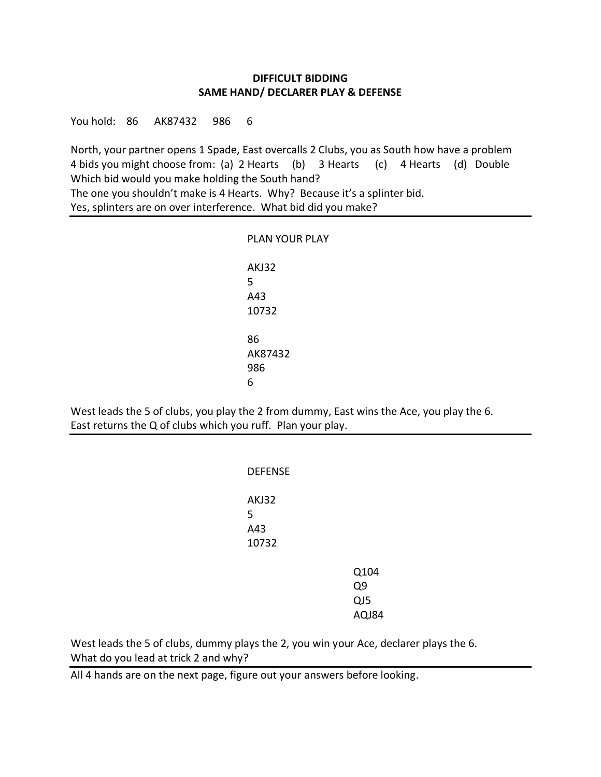## **DIFFICULT BIDDING SAME HAND/ DECLARER PLAY & DEFENSE**

You hold: 86 AK87432 986 6

North, your partner opens 1 Spade, East overcalls 2 Clubs, you as South how have a problem 4 bids you might choose from: (a) 2 Hearts (b) 3 Hearts (c) 4 Hearts (d) Double Which bid would you make holding the South hand? The one you shouldn't make is 4 Hearts. Why? Because it's a splinter bid. Yes, splinters are on over interference. What bid did you make?

| <b>PLAN YOUR PLAY</b> |
|-----------------------|
| AKJ32<br>5            |
| A43                   |
| 10732                 |
| 86                    |
| AK87432               |
| 986                   |
| 6                     |

West leads the 5 of clubs, you play the 2 from dummy, East wins the Ace, you play the 6. East returns the Q of clubs which you ruff. Plan your play.

| <b>DEFENSE</b>             |                            |
|----------------------------|----------------------------|
| AKJ32<br>5<br>A43<br>10732 |                            |
|                            | Q104<br>Q9<br>QJ5<br>AQJ84 |

West leads the 5 of clubs, dummy plays the 2, you win your Ace, declarer plays the 6. What do you lead at trick 2 and why?

All 4 hands are on the next page, figure out your answers before looking.